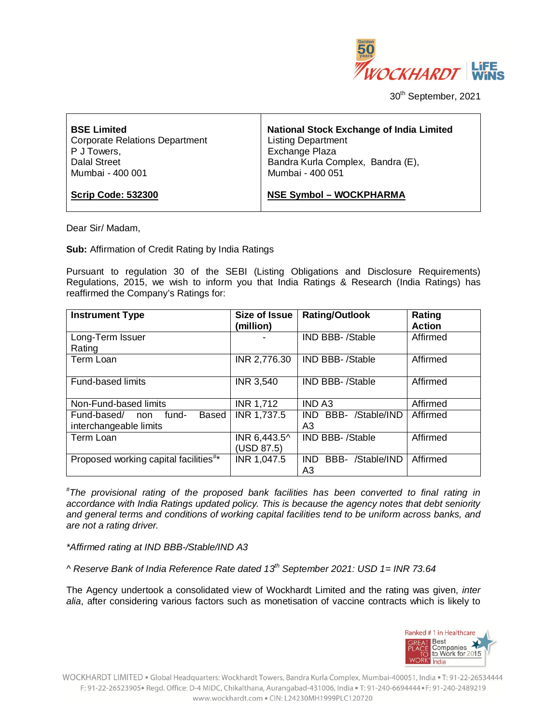

30<sup>th</sup> September, 2021

| <b>BSE Limited</b>                    | <b>National Stock Exchange of India Limited</b> |
|---------------------------------------|-------------------------------------------------|
| <b>Corporate Relations Department</b> | <b>Listing Department</b>                       |
| P J Towers,                           | Exchange Plaza                                  |
| Dalal Street                          | Bandra Kurla Complex, Bandra (E),               |
| Mumbai - 400 001                      | Mumbai - 400 051                                |
| <b>Scrip Code: 532300</b>             | <b>NSE Symbol - WOCKPHARMA</b>                  |

Dear Sir/ Madam,

**Sub:** Affirmation of Credit Rating by India Ratings

Pursuant to regulation 30 of the SEBI (Listing Obligations and Disclosure Requirements) Regulations, 2015, we wish to inform you that India Ratings & Research (India Ratings) has reaffirmed the Company's Ratings for:

| <b>Instrument Type</b>                            | <b>Size of Issue</b> | <b>Rating/Outlook</b>     | Rating        |
|---------------------------------------------------|----------------------|---------------------------|---------------|
|                                                   | (million)            |                           | <b>Action</b> |
| Long-Term Issuer                                  |                      | <b>IND BBB-/Stable</b>    | Affirmed      |
| Rating                                            |                      |                           |               |
| Term Loan                                         | INR 2,776.30         | IND BBB-/Stable           | Affirmed      |
|                                                   |                      |                           |               |
| <b>Fund-based limits</b>                          | <b>INR 3,540</b>     | <b>IND BBB-/Stable</b>    | Affirmed      |
|                                                   |                      |                           |               |
| Non-Fund-based limits                             | <b>INR 1,712</b>     | <b>IND A3</b>             | Affirmed      |
| Fund-based/<br>fund-<br>Based<br>non              | INR 1,737.5          | BBB- /Stable/IND<br>IND - | Affirmed      |
| interchangeable limits                            |                      | A3                        |               |
| Term Loan                                         | INR 6,443.5^         | <b>IND BBB-/Stable</b>    | Affirmed      |
|                                                   | (USD 87.5)           |                           |               |
| Proposed working capital facilities <sup>#*</sup> | INR 1,047.5          | BBB- /Stable/IND<br>IND.  | Affirmed      |
|                                                   |                      | A3                        |               |

*# The provisional rating of the proposed bank facilities has been converted to final rating in accordance with India Ratings updated policy. This is because the agency notes that debt seniority and general terms and conditions of working capital facilities tend to be uniform across banks, and are not a rating driver.*

*\*Affirmed rating at IND BBB-/Stable/IND A3*

*^ Reserve Bank of India Reference Rate dated 13th September 2021: USD 1= INR 73.64*

The Agency undertook a consolidated view of Wockhardt Limited and the rating was given, *inter alia*, after considering various factors such as monetisation of vaccine contracts which is likely to